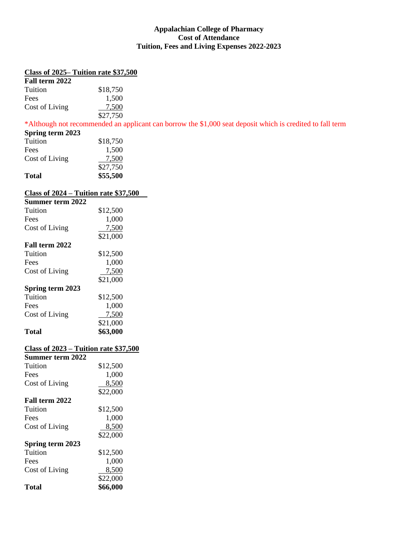#### **Appalachian College of Pharmacy Cost of Attendance Tuition, Fees and Living Expenses 2022-2023**

#### **Class of 2025– Tuition rate \$37,500**

| Fall term 2022 |          |
|----------------|----------|
| Tuition        | \$18,750 |
| Fees           | 1,500    |
| Cost of Living | 7.500    |
|                | \$27,750 |

\*Although not recommended an applicant can borrow the \$1,000 seat deposit which is credited to fall term

#### **Spring term 2023**

| Total          | \$55,500 |
|----------------|----------|
|                | \$27,750 |
| Cost of Living | 7,500    |
| Fees           | 1,500    |
| Tuition        | \$18,750 |
|                |          |

### **Class of 2024 – Tuition rate \$37,500**

| <b>Summer term 2022</b> |          |
|-------------------------|----------|
| Tuition                 | \$12,500 |
| Fees                    | 1,000    |
| Cost of Living          | 7,500    |
|                         | \$21,000 |
| Fall term 2022          |          |
| Tuition                 | \$12,500 |
| Fees                    | 1,000    |
| Cost of Living          | 7,500    |
|                         | \$21,000 |
| <b>Spring term 2023</b> |          |
| Tuition                 | \$12,500 |
| Fees                    | 1,000    |
| Cost of Living          | 7,500    |
|                         | \$21,000 |
| <b>Total</b>            | \$63,000 |

### **Class of 2023 – Tuition rate \$37,500**

| Summer term 2022        |          |
|-------------------------|----------|
| Tuition                 | \$12,500 |
| Fees                    | 1,000    |
| Cost of Living          | 8,500    |
|                         | \$22,000 |
| Fall term 2022          |          |
| Tuition                 | \$12,500 |
| Fees                    | 1,000    |
| Cost of Living          | 8,500    |
|                         | \$22,000 |
| <b>Spring term 2023</b> |          |
| Tuition                 | \$12,500 |
| Fees                    | 1,000    |
| Cost of Living          | 8,500    |
|                         | \$22,000 |
| <b>Total</b>            | \$66,000 |